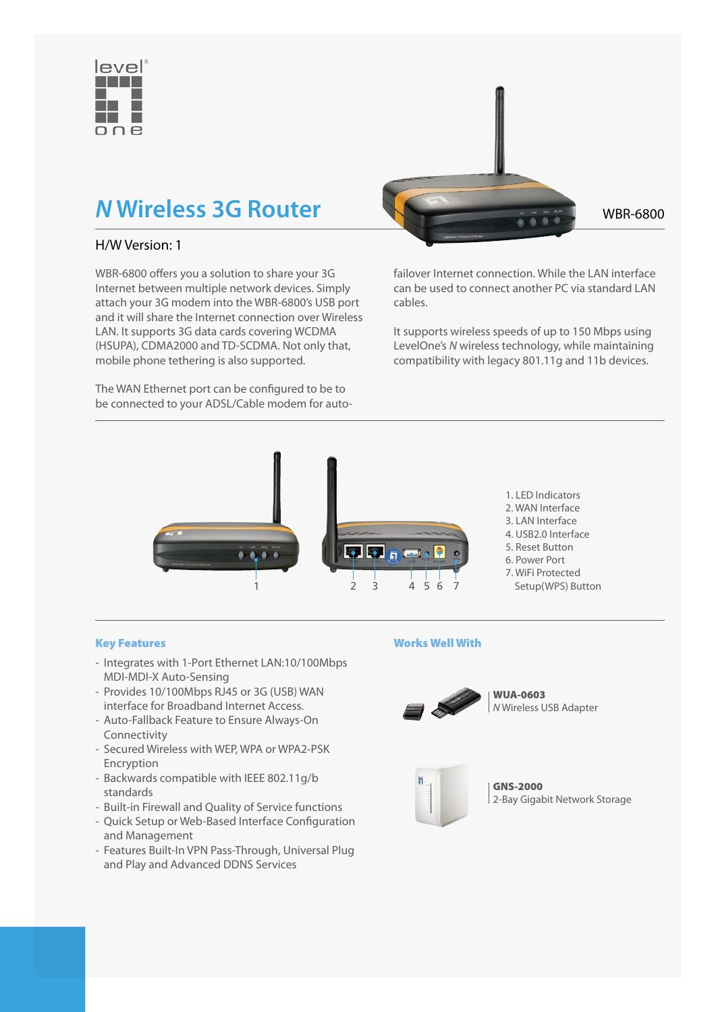

# H/W Version: 1

WBR-6800 offers you a solution to share your 3G Internet between multiple network devices. Simply attach your 3G modem into the WBR-6800's USB port and it will share the Internet connection over Wireless LAN. It supports 3G data cards covering WCDMA (HSUPA), CDMA2000 and TD-SCDMA. Not only that, mobile phone tethering is also supported.

The WAN Ethernet port can be configured to be to be connected to your ADSL/Cable modem for auto-



failover Internet connection. While the LAN interface can be used to connect another PC via standard LAN cables.

It supports wireless speeds of up to 150 Mbps using LevelOne's *N* wireless technology, while maintaining compatibility with legacy 801.11g and 11b devices.



## Key Features

- Integrates with 1-Port Ethernet LAN:10/100Mbps MDI-MDI-X Auto-Sensing
- Provides 10/100Mbps RJ45 or 3G (USB) WAN interface for Broadband Internet Access.
- Auto-Fallback Feature to Ensure Always-On Connectivity
- Secured Wireless with WEP, WPA or WPA2-PSK Encryption
- Backwards compatible with IEEE 802.11g/b standards
- Built-in Firewall and Quality of Service functions
- Quick Setup or Web-Based Interface Configuration and Management
- Features Built-In VPN Pass-Through, Universal Plug and Play and Advanced DDNS Services

## Works Well With



WUA-0603 *N* Wireless USB Adapter



GNS-2000 2-Bay Gigabit Network Storage